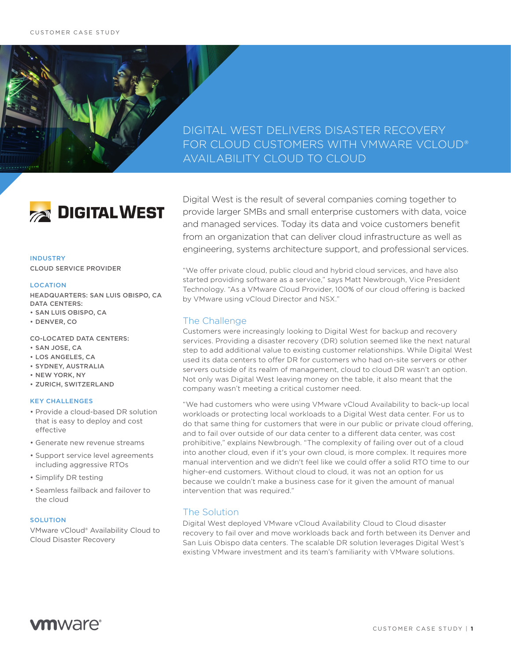## DIGITAL WEST DELIVERS DISASTER RECOVERY FOR CLOUD CUSTOMERS WITH VMWARE VCLOUD® AVAILABILITY CLOUD TO CLOUD



## INDUSTRY CLOUD SERVICE PROVIDER

#### **LOCATION**

HEADQUARTERS: SAN LUIS OBISPO, CA DATA CENTERS: • SAN LUIS OBISPO, CA

• DENVER, CO

CO-LOCATED DATA CENTERS:

- SAN JOSE, CA
- LOS ANGELES, CA
- SYDNEY, AUSTRALIA
- NEW YORK, NY
- ZURICH, SWITZERLAND

#### KEY CHALLENGES

- Provide a cloud-based DR solution that is easy to deploy and cost effective
- Generate new revenue streams
- Support service level agreements including aggressive RTOs
- Simplify DR testing
- Seamless failback and failover to the cloud

#### **SOLUTION**

VMware vCloud® Availability Cloud to Cloud Disaster Recovery

Digital West is the result of several companies coming together to provide larger SMBs and small enterprise customers with data, voice and managed services. Today its data and voice customers benefit from an organization that can deliver cloud infrastructure as well as engineering, systems architecture support, and professional services.

"We offer private cloud, public cloud and hybrid cloud services, and have also started providing software as a service," says Matt Newbrough, Vice President Technology. "As a VMware Cloud Provider, 100% of our cloud offering is backed by VMware using vCloud Director and NSX."

## The Challenge

Customers were increasingly looking to Digital West for backup and recovery services. Providing a disaster recovery (DR) solution seemed like the next natural step to add additional value to existing customer relationships. While Digital West used its data centers to offer DR for customers who had on-site servers or other servers outside of its realm of management, cloud to cloud DR wasn't an option. Not only was Digital West leaving money on the table, it also meant that the company wasn't meeting a critical customer need.

"We had customers who were using VMware vCloud Availability to back-up local workloads or protecting local workloads to a Digital West data center. For us to do that same thing for customers that were in our public or private cloud offering, and to fail over outside of our data center to a different data center, was cost prohibitive," explains Newbrough. "The complexity of failing over out of a cloud into another cloud, even if it's your own cloud, is more complex. It requires more manual intervention and we didn't feel like we could offer a solid RTO time to our higher-end customers. Without cloud to cloud, it was not an option for us because we couldn't make a business case for it given the amount of manual intervention that was required."

## The Solution

Digital West deployed VMware vCloud Availability Cloud to Cloud disaster recovery to fail over and move workloads back and forth between its Denver and San Luis Obispo data centers. The scalable DR solution leverages Digital West's existing VMware investment and its team's familiarity with VMware solutions.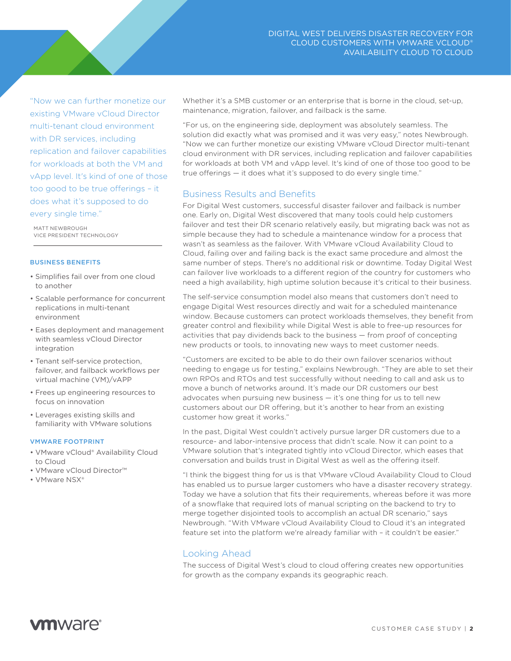"Now we can further monetize our existing VMware vCloud Director multi-tenant cloud environment with DR services, including replication and failover capabilities for workloads at both the VM and vApp level. It's kind of one of those too good to be true offerings – it does what it's supposed to do every single time."

MATT NEWBROUGH VICE PRESIDENT TECHNOLOGY

#### BUSINESS BENEFITS

- Simplifies fail over from one cloud to another
- Scalable performance for concurrent replications in multi-tenant environment
- Eases deployment and management with seamless vCloud Director integration
- Tenant self-service protection, failover, and failback workflows per virtual machine (VM)/vAPP
- Frees up engineering resources to focus on innovation
- Leverages existing skills and familiarity with VMware solutions

#### VMWARE FOOTPRINT

- VMware vCloud® Availability Cloud to Cloud
- VMware vCloud Director™
- VMware NSX®

Whether it's a SMB customer or an enterprise that is borne in the cloud, set-up, maintenance, migration, failover, and failback is the same.

"For us, on the engineering side, deployment was absolutely seamless. The solution did exactly what was promised and it was very easy," notes Newbrough. "Now we can further monetize our existing VMware vCloud Director multi-tenant cloud environment with DR services, including replication and failover capabilities for workloads at both VM and vApp level. It's kind of one of those too good to be true offerings — it does what it's supposed to do every single time."

## Business Results and Benefits

For Digital West customers, successful disaster failover and failback is number one. Early on, Digital West discovered that many tools could help customers failover and test their DR scenario relatively easily, but migrating back was not as simple because they had to schedule a maintenance window for a process that wasn't as seamless as the failover. With VMware vCloud Availability Cloud to Cloud, failing over and failing back is the exact same procedure and almost the same number of steps. There's no additional risk or downtime. Today Digital West can failover live workloads to a different region of the country for customers who need a high availability, high uptime solution because it's critical to their business.

The self-service consumption model also means that customers don't need to engage Digital West resources directly and wait for a scheduled maintenance window. Because customers can protect workloads themselves, they benefit from greater control and flexibility while Digital West is able to free-up resources for activities that pay dividends back to the business — from proof of concepting new products or tools, to innovating new ways to meet customer needs.

"Customers are excited to be able to do their own failover scenarios without needing to engage us for testing," explains Newbrough. "They are able to set their own RPOs and RTOs and test successfully without needing to call and ask us to move a bunch of networks around. It's made our DR customers our best advocates when pursuing new business — it's one thing for us to tell new customers about our DR offering, but it's another to hear from an existing customer how great it works."

In the past, Digital West couldn't actively pursue larger DR customers due to a resource- and labor-intensive process that didn't scale. Now it can point to a VMware solution that's integrated tightly into vCloud Director, which eases that conversation and builds trust in Digital West as well as the offering itself.

"I think the biggest thing for us is that VMware vCloud Availability Cloud to Cloud has enabled us to pursue larger customers who have a disaster recovery strategy. Today we have a solution that fits their requirements, whereas before it was more of a snowflake that required lots of manual scripting on the backend to try to merge together disjointed tools to accomplish an actual DR scenario," says Newbrough. "With VMware vCloud Availability Cloud to Cloud it's an integrated feature set into the platform we're already familiar with – it couldn't be easier."

## Looking Ahead

The success of Digital West's cloud to cloud offering creates new opportunities for growth as the company expands its geographic reach.